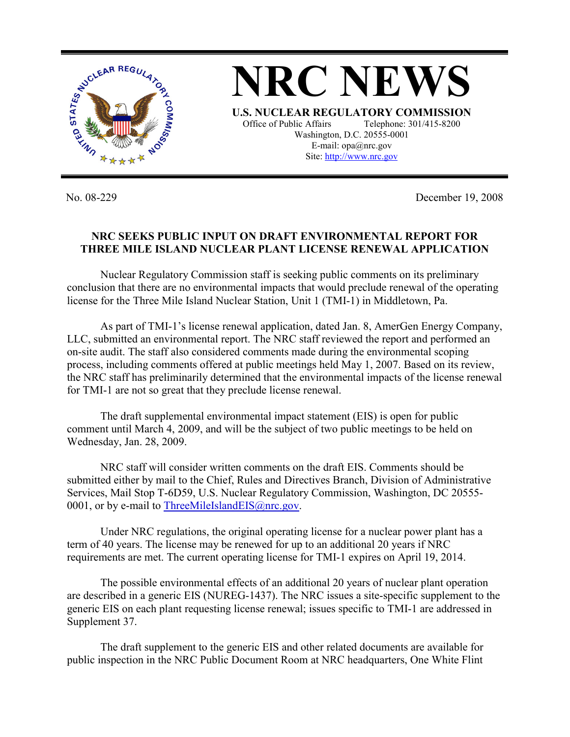

**NRC NEWS U.S. NUCLEAR REGULATORY COMMISSION** Office of Public Affairs Telephone: 301/415-8200 Washington, D.C. 20555-0001 E-mail: opa@nrc.gov Site: http://www.nrc.gov

No. 08-229 December 19, 2008

## **NRC SEEKS PUBLIC INPUT ON DRAFT ENVIRONMENTAL REPORT FOR THREE MILE ISLAND NUCLEAR PLANT LICENSE RENEWAL APPLICATION**

 Nuclear Regulatory Commission staff is seeking public comments on its preliminary conclusion that there are no environmental impacts that would preclude renewal of the operating license for the Three Mile Island Nuclear Station, Unit 1 (TMI-1) in Middletown, Pa.

 As part of TMI-1's license renewal application, dated Jan. 8, AmerGen Energy Company, LLC, submitted an environmental report. The NRC staff reviewed the report and performed an on-site audit. The staff also considered comments made during the environmental scoping process, including comments offered at public meetings held May 1, 2007. Based on its review, the NRC staff has preliminarily determined that the environmental impacts of the license renewal for TMI-1 are not so great that they preclude license renewal.

 The draft supplemental environmental impact statement (EIS) is open for public comment until March 4, 2009, and will be the subject of two public meetings to be held on Wednesday, Jan. 28, 2009.

 NRC staff will consider written comments on the draft EIS. Comments should be submitted either by mail to the Chief, Rules and Directives Branch, Division of Administrative Services, Mail Stop T-6D59, U.S. Nuclear Regulatory Commission, Washington, DC 20555- 0001, or by e-mail to ThreeMileIslandEIS@nrc.gov.

 Under NRC regulations, the original operating license for a nuclear power plant has a term of 40 years. The license may be renewed for up to an additional 20 years if NRC requirements are met. The current operating license for TMI-1 expires on April 19, 2014.

 The possible environmental effects of an additional 20 years of nuclear plant operation are described in a generic EIS (NUREG-1437). The NRC issues a site-specific supplement to the generic EIS on each plant requesting license renewal; issues specific to TMI-1 are addressed in Supplement 37.

 The draft supplement to the generic EIS and other related documents are available for public inspection in the NRC Public Document Room at NRC headquarters, One White Flint